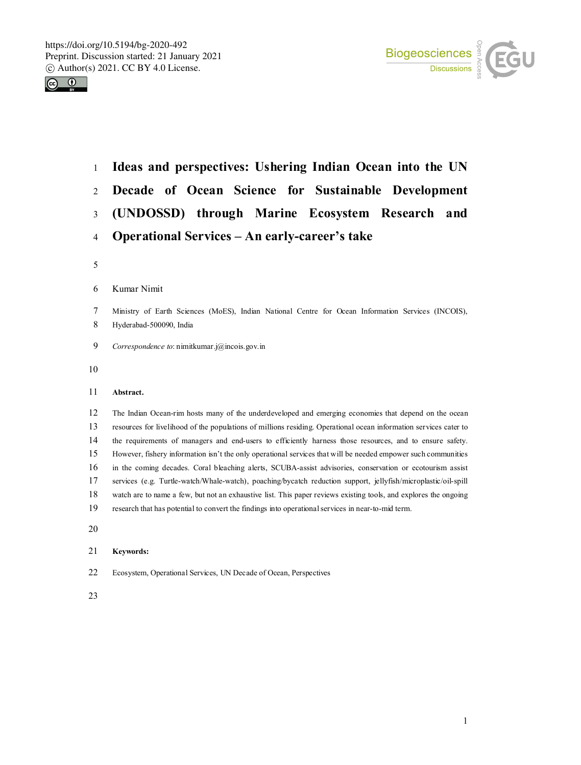



 **Ideas and perspectives: Ushering Indian Ocean into the UN Decade of Ocean Science for Sustainable Development (UNDOSSD) through Marine Ecosystem Research and Operational Services – An early-career's take**

#### Kumar Nimit

- Ministry of Earth Sciences (MoES), Indian National Centre for Ocean Information Services (INCOIS), Hyderabad-500090, India
- *Correspondence to*: nimitkumar.j@incois.gov.in
- 

# **Abstract.**

 The Indian Ocean-rim hosts many of the underdeveloped and emerging economies that depend on the ocean resources for livelihood of the populations of millions residing. Operational ocean information services cater to the requirements of managers and end-users to efficiently harness those resources, and to ensure safety. However, fishery information isn't the only operational services that will be needed empower such communities in the coming decades. Coral bleaching alerts, SCUBA-assist advisories, conservation or ecotourism assist services (e.g. Turtle-watch/Whale-watch), poaching/bycatch reduction support, jellyfish/microplastic/oil-spill watch are to name a few, but not an exhaustive list. This paper reviews existing tools, and explores the ongoing research that has potential to convert the findings into operational services in near-to-mid term.

### **Keywords:**

Ecosystem, Operational Services, UN Decade of Ocean, Perspectives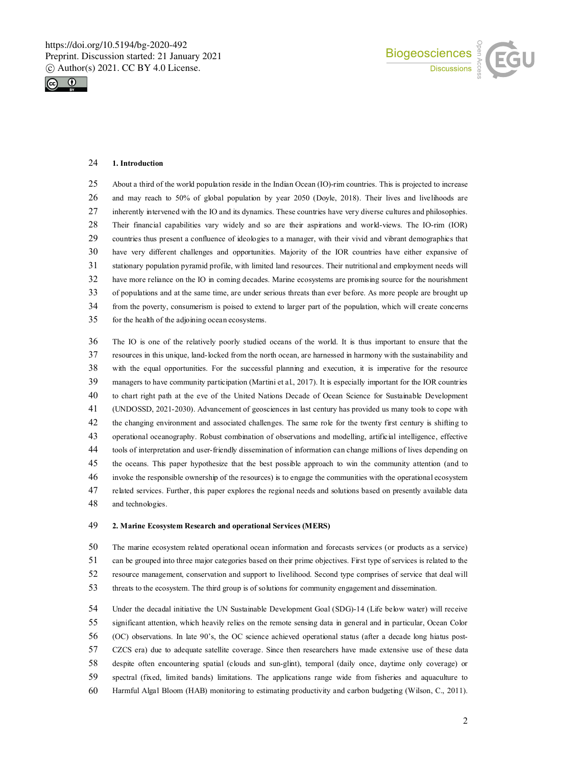



#### **1. Introduction**

 About a third of the world population reside in the Indian Ocean (IO)-rim countries. This is projected to increase and may reach to 50% of global population by year 2050 (Doyle, 2018). Their lives and livelihoods are inherently intervened with the IO and its dynamics. These countries have very diverse cultures and philosophies. Their financial capabilities vary widely and so are their aspirations and world-views. The IO-rim (IOR) countries thus present a confluence of ideologies to a manager, with their vivid and vibrant demographics that have very different challenges and opportunities. Majority of the IOR countries have either expansive of stationary population pyramid profile, with limited land resources. Their nutritional and employment needs will have more reliance on the IO in coming decades. Marine ecosystems are promising source for the nourishment of populations and at the same time, are under serious threats than ever before. As more people are brought up from the poverty, consumerism is poised to extend to larger part of the population, which will create concerns for the health of the adjoining ocean ecosystems.

 The IO is one of the relatively poorly studied oceans of the world. It is thus important to ensure that the resources in this unique, land-locked from the north ocean, are harnessed in harmony with the sustainability and with the equal opportunities. For the successful planning and execution, it is imperative for the resource managers to have community participation (Martini et al., 2017). It is especially important for the IOR countries to chart right path at the eve of the United Nations Decade of Ocean Science for Sustainable Development (UNDOSSD, 2021-2030). Advancement of geosciences in last century has provided us many tools to cope with the changing environment and associated challenges. The same role for the twenty first century is shifting to operational oceanography. Robust combination of observations and modelling, artificial intelligence, effective tools of interpretation and user-friendly dissemination of information can change millions of lives depending on the oceans. This paper hypothesize that the best possible approach to win the community attention (and to invoke the responsible ownership of the resources) is to engage the communities with the operational ecosystem related services. Further, this paper explores the regional needs and solutions based on presently available data and technologies.

## **2. Marine Ecosystem Research and operational Services (MERS)**

 The marine ecosystem related operational ocean information and forecasts services (or products as a service) can be grouped into three major categories based on their prime objectives. First type of services is related to the resource management, conservation and support to livelihood. Second type comprises of service that deal will threats to the ecosystem. The third group is of solutions for community engagement and dissemination.

 Under the decadal initiative the UN Sustainable Development Goal (SDG)-14 (Life below water) will receive significant attention, which heavily relies on the remote sensing data in general and in particular, Ocean Color (OC) observations. In late 90's, the OC science achieved operational status (after a decade long hiatus post- CZCS era) due to adequate satellite coverage. Since then researchers have made extensive use of these data despite often encountering spatial (clouds and sun-glint), temporal (daily once, daytime only coverage) or spectral (fixed, limited bands) limitations. The applications range wide from fisheries and aquaculture to Harmful Algal Bloom (HAB) monitoring to estimating productivity and carbon budgeting (Wilson, C., 2011).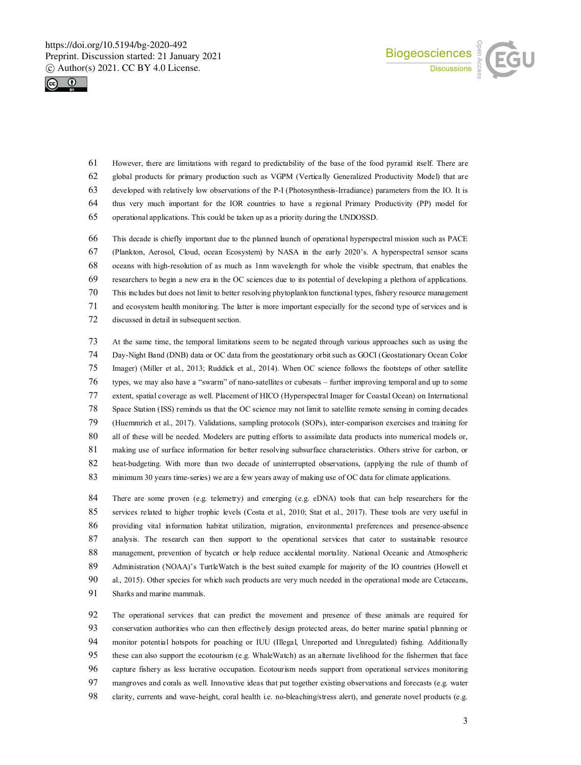



 However, there are limitations with regard to predictability of the base of the food pyramid itself. There are global products for primary production such as VGPM (Vertically Generalized Productivity Model) that are developed with relatively low observations of the P-I (Photosynthesis-Irradiance) parameters from the IO. It is thus very much important for the IOR countries to have a regional Primary Productivity (PP) model for

operational applications. This could be taken up as a priority during the UNDOSSD.

 This decade is chiefly important due to the planned launch of operational hyperspectral mission such as PACE (Plankton, Aerosol, Cloud, ocean Ecosystem) by NASA in the early 2020's. A hyperspectral sensor scans oceans with high-resolution of as much as 1nm wavelength for whole the visible spectrum, that enables the researchers to begin a new era in the OC sciences due to its potential of developing a plethora of applications. This includes but does not limit to better resolving phytoplankton functional types, fishery resource management and ecosystem health monitoring. The latter is more important especially for the second type of services and is discussed in detail in subsequent section.

 At the same time, the temporal limitations seem to be negated through various approaches such as using the Day-Night Band (DNB) data or OC data from the geostationary orbit such as GOCI (Geostationary Ocean Color Imager) (Miller et al., 2013; Ruddick et al., 2014). When OC science follows the footsteps of other satellite types, we may also have a "swarm" of nano-satellites or cubesats – further improving temporal and up to some extent, spatial coverage as well. Placement of HICO (Hyperspectral Imager for Coastal Ocean) on International Space Station (ISS) reminds us that the OC science may not limit to satellite remote sensing in coming decades (Huemmrich et al., 2017). Validations, sampling protocols (SOPs), inter-comparison exercises and training for 80 all of these will be needed. Modelers are putting efforts to assimilate data products into numerical models or, making use of surface information for better resolving subsurface characteristics. Others strive for carbon, or heat-budgeting. With more than two decade of uninterrupted observations, (applying the rule of thumb of minimum 30 years time-series) we are a few years away of making use of OC data for climate applications.

84 There are some proven (e.g. telemetry) and emerging (e.g. eDNA) tools that can help researchers for the services related to higher trophic levels (Costa et al., 2010; Stat et al., 2017). These tools are very useful in providing vital information habitat utilization, migration, environmental preferences and presence-absence analysis. The research can then support to the operational services that cater to sustainable resource management, prevention of bycatch or help reduce accidental mortality. National Oceanic and Atmospheric 89 Administration (NOAA)'s TurtleWatch is the best suited example for majority of the IO countries (Howell et al., 2015). Other species for which such products are very much needed in the operational mode are Cetaceans, Sharks and marine mammals.

 The operational services that can predict the movement and presence of these animals are required for conservation authorities who can then effectively design protected areas, do better marine spatial planning or monitor potential hotspots for poaching or IUU (Illegal, Unreported and Unregulated) fishing. Additionally these can also support the ecotourism (e.g. WhaleWatch) as an alternate livelihood for the fishermen that face capture fishery as less lucrative occupation. Ecotourism needs support from operational services monitoring mangroves and corals as well. Innovative ideas that put together existing observations and forecasts (e.g. water clarity, currents and wave-height, coral health i.e. no-bleaching/stress alert), and generate novel products (e.g.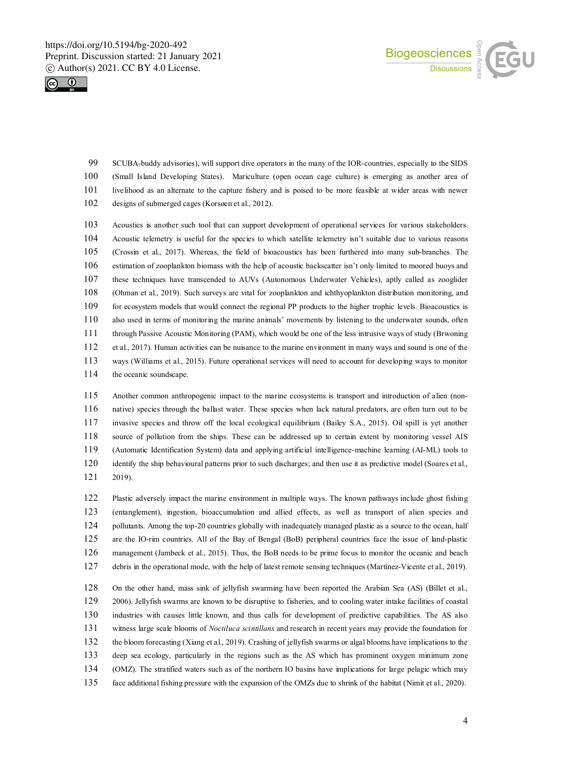



 SCUBA-buddy advisories), will support dive operators in the many of the IOR-countries, especially to the SIDS (Small Island Developing States). Mariculture (open ocean cage culture) is emerging as another area of livelihood as an alternate to the capture fishery and is poised to be more feasible at wider areas with newer

designs of submerged cages (Korsøen et al., 2012).

 Acoustics is another such tool that can support development of operational services for various stakeholders. Acoustic telemetry is useful for the species to which satellite telemetry isn't suitable due to various reasons (Crossin et al., 2017). Whereas, the field of bioacoustics has been furthered into many sub-branches. The estimation of zooplankton biomass with the help of acoustic backscatter isn't only limited to moored buoys and these techniques have transcended to AUVs (Autonomous Underwater Vehicles), aptly called as zooglider (Ohman et al., 2019). Such surveys are vital for zooplankton and ichthyoplankton distribution monitoring, and for ecosystem models that would connect the regional PP products to the higher trophic levels. Bioacoustics is also used in terms of monitoring the marine animals' movements by listening to the underwater sounds, often through Passive Acoustic Monitoring (PAM), which would be one of the less intrusive ways of study (Brwoning et al., 2017). Human activities can be nuisance to the marine environment in many ways and sound is one of the ways (Williams et al., 2015). Future operational services will need to account for developing ways to monitor 114 the oceanic soundscape.

 Another common anthropogenic impact to the marine ecosystems is transport and introduction of alien (non- native) species through the ballast water. These species when lack natural predators, are often turn out to be invasive species and throw off the local ecological equilibrium (Bailey S.A., 2015). Oil spill is yet another source of pollution from the ships. These can be addressed up to certain extent by monitoring vessel AIS (Automatic Identification System) data and applying artificial intelligence-machine learning (AI-ML) tools to identify the ship behavioural patterns prior to such discharges; and then use it as predictive model (Soares et al., 2019).

 Plastic adversely impact the marine environment in multiple ways. The known pathways include ghost fishing (entanglement), ingestion, bioaccumulation and allied effects, as well as transport of alien species and 124 pollutants. Among the top-20 countries globally with inadequately managed plastic as a source to the ocean, half are the IO-rim countries. All of the Bay of Bengal (BoB) peripheral countries face the issue of land-plastic management (Jambeck et al., 2015). Thus, the BoB needs to be prime focus to monitor the oceanic and beach debris in the operational mode, with the help of latest remote sensing techniques (Martínez-Vicente et al., 2019).

 On the other hand, mass sink of jellyfish swarming have been reported the Arabian Sea (AS) (Billet et al., 2006). Jellyfish swarms are known to be disruptive to fisheries, and to cooling water intake facilities of coastal industries with causes little known, and thus calls for development of predictive capabilities. The AS also witness large scale blooms of *Noctiluca scintillans* and research in recent years may provide the foundation for the bloom forecasting (Xiang et al., 2019). Crashing of jellyfish swarms or algal blooms have implications to the deep sea ecology, particularly in the regions such as the AS which has prominent oxygen minimum zone (OMZ). The stratified waters such as of the northern IO basins have implications for large pelagic which may face additional fishing pressure with the expansion of the OMZs due to shrink of the habitat (Nimit et al., 2020).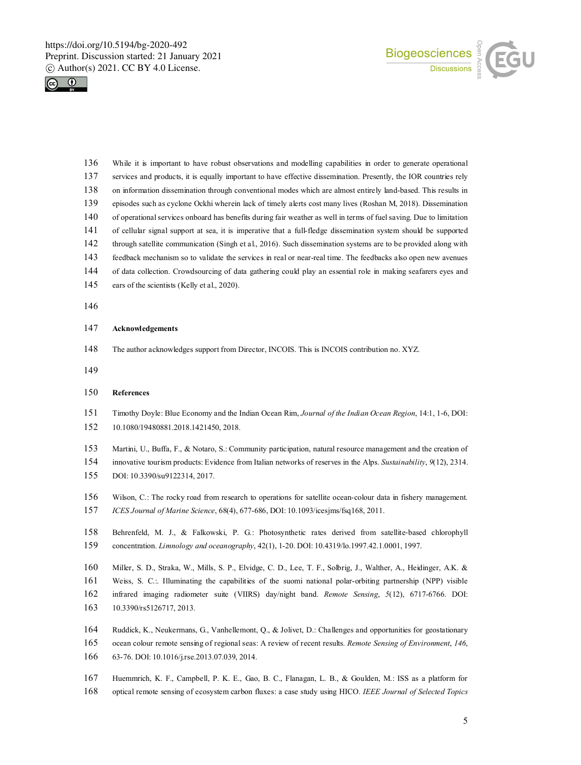



 While it is important to have robust observations and modelling capabilities in order to generate operational 137 services and products, it is equally important to have effective dissemination. Presently, the IOR countries rely on information dissemination through conventional modes which are almost entirely land-based. This results in episodes such as cyclone Ockhi wherein lack of timely alerts cost many lives (Roshan M, 2018). Dissemination of operational services onboard has benefits during fair weather as well in terms of fuel saving. Due to limitation of cellular signal support at sea, it is imperative that a full-fledge dissemination system should be supported through satellite communication (Singh et al., 2016). Such dissemination systems are to be provided along with feedback mechanism so to validate the services in real or near-real time. The feedbacks also open new avenues of data collection. Crowdsourcing of data gathering could play an essential role in making seafarers eyes and 145 ears of the scientists (Kelly et al., 2020).

### **Acknowledgements**

The author acknowledges support from Director, INCOIS. This is INCOIS contribution no. XYZ.

## **References**

- Timothy Doyle: Blue Economy and the Indian Ocean Rim, *Journal of the Indian Ocean Region*, 14:1, 1-6, DOI: 10.1080/19480881.2018.1421450, 2018.
- Martini, U., Buffa, F., & Notaro, S.: Community participation, natural resource management and the creation of
- innovative tourism products: Evidence from Italian networks of reserves in the Alps. *Sustainability*, *9*(12), 2314. DOI: 10.3390/su9122314, 2017.
- Wilson, C.: The rocky road from research to operations for satellite ocean-colour data in fishery management. *ICES Journal of Marine Science*, 68(4), 677-686, DOI: 10.1093/icesjms/fsq168, 2011.
- Behrenfeld, M. J., & Falkowski, P. G.: Photosynthetic rates derived from satellite‐based chlorophyll concentration. *Limnology and oceanography*, 42(1), 1-20. DOI: 10.4319/lo.1997.42.1.0001, 1997.
- Miller, S. D., Straka, W., Mills, S. P., Elvidge, C. D., Lee, T. F., Solbrig, J., Walther, A., Heidinger, A.K. & Weiss, S. C.:. Illuminating the capabilities of the suomi national polar-orbiting partnership (NPP) visible infrared imaging radiometer suite (VIIRS) day/night band. *Remote Sensing*, *5*(12), 6717-6766. DOI:
- 10.3390/rs5126717, 2013.
- Ruddick, K., Neukermans, G., Vanhellemont, Q., & Jolivet, D.: Challenges and opportunities for geostationary ocean colour remote sensing of regional seas: A review of recent results. *Remote Sensing of Environment*, *146*, 63-76. DOI: 10.1016/j.rse.2013.07.039, 2014.
- Huemmrich, K. F., Campbell, P. K. E., Gao, B. C., Flanagan, L. B., & Goulden, M.: ISS as a platform for optical remote sensing of ecosystem carbon fluxes: a case study using HICO. *IEEE Journal of Selected Topics*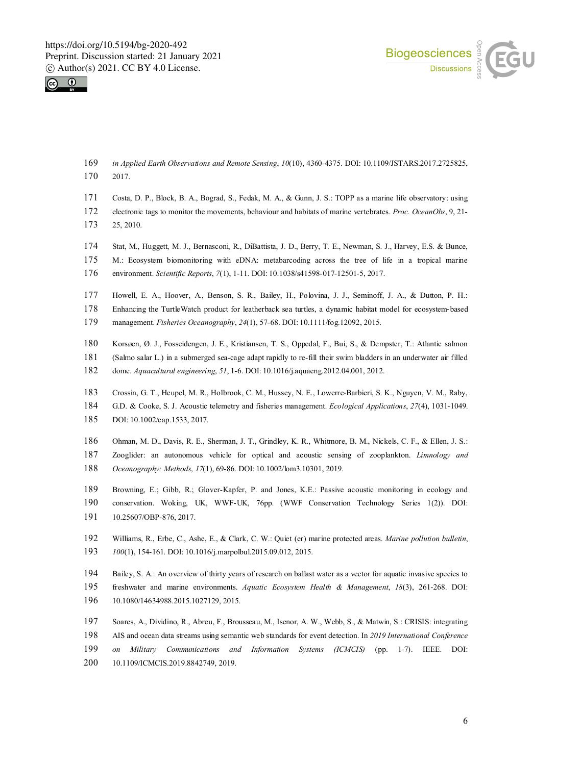



- *in Applied Earth Observations and Remote Sensing*, *10*(10), 4360-4375. DOI: 10.1109/JSTARS.2017.2725825, 2017.
- Costa, D. P., Block, B. A., Bograd, S., Fedak, M. A., & Gunn, J. S.: TOPP as a marine life observatory: using
- electronic tags to monitor the movements, behaviour and habitats of marine vertebrates. *Proc. OceanObs*, 9, 21-
- 25, 2010.
- Stat, M., Huggett, M. J., Bernasconi, R., DiBattista, J. D., Berry, T. E., Newman, S. J., Harvey, E.S. & Bunce,
- M.: Ecosystem biomonitoring with eDNA: metabarcoding across the tree of life in a tropical marine
- environment. *Scientific Reports*, *7*(1), 1-11. DOI: 10.1038/s41598-017-12501-5, 2017.
- Howell, E. A., Hoover, A., Benson, S. R., Bailey, H., Polovina, J. J., Seminoff, J. A., & Dutton, P. H.:
- 178 Enhancing the TurtleWatch product for leatherback sea turtles, a dynamic habitat model for ecosystem-based
- management. *Fisheries Oceanography*, *24*(1), 57-68. DOI: 10.1111/fog.12092, 2015.
- Korsøen, Ø. J., Fosseidengen, J. E., Kristiansen, T. S., Oppedal, F., Bui, S., & Dempster, T.: Atlantic salmon
- (Salmo salar L.) in a submerged sea-cage adapt rapidly to re-fill their swim bladders in an underwater air filled
- dome. *Aquacultural engineering*, *51*, 1-6. DOI: 10.1016/j.aquaeng.2012.04.001, 2012.
- Crossin, G. T., Heupel, M. R., Holbrook, C. M., Hussey, N. E., Lowerre‐Barbieri, S. K., Nguyen, V. M., Raby,
- G.D. & Cooke, S. J. Acoustic telemetry and fisheries management. *Ecological Applications*, *27*(4), 1031-1049. DOI: 10.1002/eap.1533, 2017.
- Ohman, M. D., Davis, R. E., Sherman, J. T., Grindley, K. R., Whitmore, B. M., Nickels, C. F., & Ellen, J. S.: Zooglider: an autonomous vehicle for optical and acoustic sensing of zooplankton. *Limnology and Oceanography: Methods*, *17*(1), 69-86. DOI: 10.1002/lom3.10301, 2019.
- Browning, E.; Gibb, R.; Glover-Kapfer, P. and Jones, K.E.: Passive acoustic monitoring in ecology and conservation. Woking, UK, WWF-UK, 76pp. (WWF Conservation Technology Series 1(2)). DOI: 10.25607/OBP-876, 2017.
- Williams, R., Erbe, C., Ashe, E., & Clark, C. W.: Quiet (er) marine protected areas. *Marine pollution bulletin*, *100*(1), 154-161. DOI: 10.1016/j.marpolbul.2015.09.012, 2015.
- Bailey, S. A.: An overview of thirty years of research on ballast water as a vector for aquatic invasive species to freshwater and marine environments. *Aquatic Ecosystem Health & Management*, *18*(3), 261-268. DOI: 10.1080/14634988.2015.1027129, 2015.
- Soares, A., Dividino, R., Abreu, F., Brousseau, M., Isenor, A. W., Webb, S., & Matwin, S.: CRISIS: integrating AIS and ocean data streams using semantic web standards for event detection. In *2019 International Conference on Military Communications and Information Systems (ICMCIS)* (pp. 1-7). IEEE. DOI: 10.1109/ICMCIS.2019.8842749, 2019.